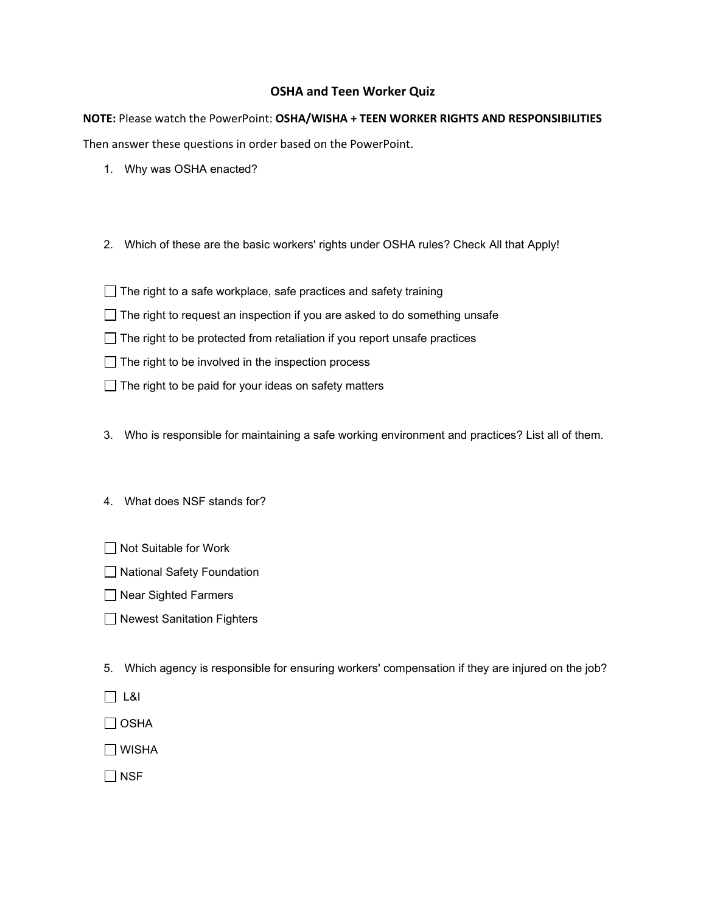## **OSHA and Teen Worker Quiz**

**NOTE:** Please watch the PowerPoint: **OSHA/WISHA + TEEN WORKER RIGHTS AND RESPONSIBILITIES**

Then answer these questions in order based on the PowerPoint.

- 1. Why was OSHA enacted?
- 2. Which of these are the basic workers' rights under OSHA rules? Check All that Apply!
- $\Box$  The right to a safe workplace, safe practices and safety training
- $\Box$  The right to request an inspection if you are asked to do something unsafe
- $\Box$  The right to be protected from retaliation if you report unsafe practices
- $\Box$  The right to be involved in the inspection process
- $\Box$  The right to be paid for your ideas on safety matters
- 3. Who is responsible for maintaining a safe working environment and practices? List all of them.
- 4. What does NSF stands for?
- □ Not Suitable for Work
- □ National Safety Foundation
- □ Near Sighted Farmers
- □ Newest Sanitation Fighters
- 5. Which agency is responsible for ensuring workers' compensation if they are injured on the job?
- L&I
- $\Box$  OSHA
- WISHA

 $\Box$  NSF